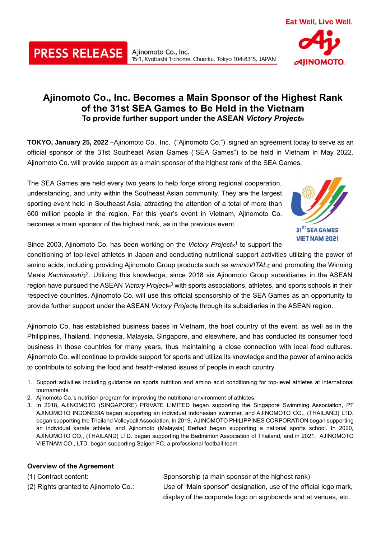## **Ajinomoto Co., Inc. Becomes a Main Sponsor of the Highest Rank of the 31st SEA Games to Be Held in the Vietnam To provide further support under the ASEAN** *Victory Project***®**

**TOKYO, January 25, 2022** –Ajinomoto Co., Inc. ("Ajinomoto Co.") signed an agreement today to serve as an official sponsor of the 31st Southeast Asian Games ("SEA Games") to be held in Vietnam in May 2022. Ajinomoto Co. will provide support as a main sponsor of the highest rank of the SEA Games.

The SEA Games are held every two years to help forge strong regional cooperation, understanding, and unity within the Southeast Asian community. They are the largest sporting event held in Southeast Asia, attracting the attention of a total of more than 600 million people in the region. For this year's event in Vietnam, Ajinomoto Co. becomes a main sponsor of the highest rank, as in the previous event.



Eat Well, Live Well.

**AJINOMOTO**.

Since 2003, Ajinomoto Co. has been working on the Victory Project<sup>®1</sup> to support the

conditioning of top-level athletes in Japan and conducting nutritional support activities utilizing the power of amino acids, including providing Ajinomoto Group products such as *aminoVITAL*® and promoting the Winning Meals Kachimeshi®<sup>2</sup>. Utilizing this knowledge, since 2018 six Ajinomoto Group subsidiaries in the ASEAN region have pursued the ASEAN *Victory Project*® <sup>3</sup> with sports associations, athletes, and sports schools in their respective countries. Ajinomoto Co. will use this official sponsorship of the SEA Games as an opportunity to provide further support under the ASEAN *Victory Project*® through its subsidiaries in the ASEAN region.

Ajinomoto Co. has established business bases in Vietnam, the host country of the event, as well as in the Philippines, Thailand, Indonesia, Malaysia, Singapore, and elsewhere, and has conducted its consumer food business in those countries for many years, thus maintaining a close connection with local food cultures. Ajinomoto Co. will continue to provide support for sports and utilize its knowledge and the power of amino acids to contribute to solving the food and health-related issues of people in each country.

- 1. Support activities including guidance on sports nutrition and amino acid conditioning for top-level athletes at international tournaments.
- 2. Ajinomoto Co.'s nutrition program for improving the nutritional environment of athletes.
- 3. In 2018, AJINOMOTO (SINGAPORE) PRIVATE LIMITED began supporting the Singapore Swimming Association, PT AJINOMOTO INDONESIA began supporting an individual Indonesian swimmer, and AJINOMOTO CO., (THAILAND) LTD. began supporting the Thailand Volleyball Association. In 2019, AJINOMOTO PHILIPPINES CORPORATION began supporting an individual karate athlete, and Ajinomoto (Malaysia) Berhad began supporting a national sports school. In 2020, AJINOMOTO CO., (THAILAND) LTD. began supporting the eadminton Association of Thailand, and in 2021, AJINOMOTO VIETNAM CO., LTD. began supporting Saigon FC, a professional football team.

## **Overview of the Agreement**

**PRESS RELEASE** 

(1) Contract content: Sponsorship (a main sponsor of the highest rank) (2) Rights granted to Ajinomoto Co.: Use of "Main sponsor" designation, use of the official logo mark, display of the corporate logo on signboards and at venues, etc.